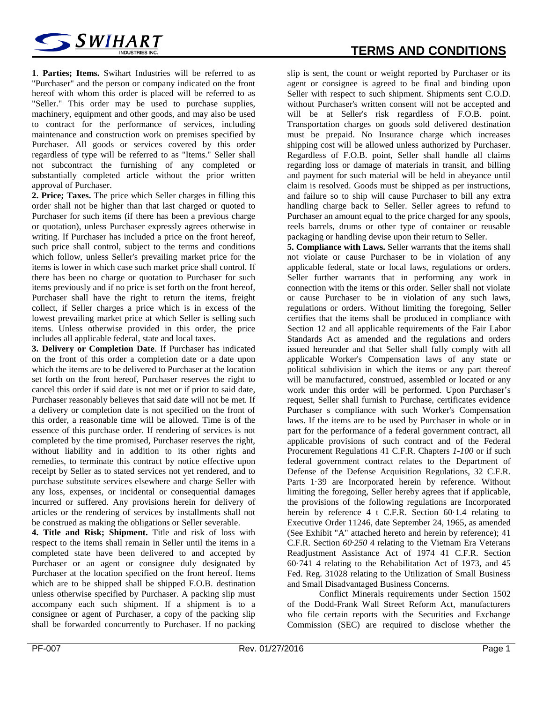

**1**. **Parties; Items.** Swihart Industries will be referred to as "Purchaser" and the person or company indicated on the front hereof with whom this order is placed will be referred to as "Seller." This order may be used to purchase supplies, machinery, equipment and other goods, and may also be used to contract for the performance of services, including maintenance and construction work on premises specified by Purchaser. All goods or services covered by this order regardless of type will be referred to as "Items." Seller shall not subcontract the furnishing of any completed or substantially completed article without the prior written approval of Purchaser.

**2. Price; Taxes.** The price which Seller charges in filling this order shall not be higher than that last charged or quoted to Purchaser for such items (if there has been a previous charge or quotation), unless Purchaser expressly agrees otherwise in writing. If Purchaser has included a price on the front hereof, such price shall control, subject to the terms and conditions which follow, unless Seller's prevailing market price for the items is lower in which case such market price shall control. If there has been no charge or quotation to Purchaser for such items previously and if no price is set forth on the front hereof, Purchaser shall have the right to return the items, freight collect, if Seller charges a price which is in excess of the lowest prevailing market price at which Seller is selling such items. Unless otherwise provided in this order, the price includes all applicable federal, state and local taxes.

**3. Delivery or Completion Date**. If Purchaser has indicated on the front of this order a completion date or a date upon which the items are to be delivered to Purchaser at the location set forth on the front hereof, Purchaser reserves the right to cancel this order if said date is not met or if prior to said date, Purchaser reasonably believes that said date will not be met. If a delivery or completion date is not specified on the front of this order, a reasonable time will be allowed. Time is of the essence of this purchase order. If rendering of services is not completed by the time promised, Purchaser reserves the right, without liability and in addition to its other rights and remedies, to terminate this contract by notice effective upon receipt by Seller as to stated services not yet rendered, and to purchase substitute services elsewhere and charge Seller with any loss, expenses, or incidental or consequential damages incurred or suffered. Any provisions herein for delivery of articles or the rendering of services by installments shall not be construed as making the obligations or Seller severable.

**4. Title and Risk; Shipment.** Title and risk of loss with respect to the items shall remain in Seller until the items in a completed state have been delivered to and accepted by Purchaser or an agent or consignee duly designated by Purchaser at the location specified on the front hereof. Items which are to be shipped shall be shipped F.O.B. destination unless otherwise specified by Purchaser. A packing slip must accompany each such shipment. If a shipment is to a consignee or agent of Purchaser, a copy of the packing slip shall be forwarded concurrently to Purchaser. If no packing

slip is sent, the count or weight reported by Purchaser or its agent or consignee is agreed to be final and binding upon Seller with respect to such shipment. Shipments sent C.O.D. without Purchaser's written consent will not be accepted and will be at Seller's risk regardless of F.O.B. point. Transportation charges on goods sold delivered destination must be prepaid. No Insurance charge which increases shipping cost will be allowed unless authorized by Purchaser. Regardless of F.O.B. point, Seller shall handle all claims regarding loss or damage of materials in transit, and billing and payment for such material will be held in abeyance until claim is resolved. Goods must be shipped as per instructions, and failure so to ship will cause Purchaser to bill any extra handling charge back to Seller. Seller agrees to refund to Purchaser an amount equal to the price charged for any spools, reels barrels, drums or other type of container or reusable packaging or handling devise upon their return to Seller.

**5. Compliance with Laws.** Seller warrants that the items shall not violate or cause Purchaser to be in violation of any applicable federal, state or local laws, regulations or orders. Seller further warrants that in performing any work in connection with the items or this order. Seller shall not violate or cause Purchaser to be in violation of any such laws, regulations or orders. Without limiting the foregoing, Seller certifies that the items shall be produced in compliance with Section 12 and all applicable requirements of the Fair Labor Standards Act as amended and the regulations and orders issued hereunder and that Seller shall fully comply with all applicable Worker's Compensation laws of any state or political subdivision in which the items or any part thereof will be manufactured, construed, assembled or located or any work under this order will be performed. Upon Purchaser's request, Seller shall furnish to Purchase, certificates evidence Purchaser s compliance with such Worker's Compensation laws. If the items are to be used by Purchaser in whole or in part for the performance of a federal government contract, all applicable provisions of such contract and of the Federal Procurement Regulations 41 C.F.R. Chapters *1-100* or if such federal government contract relates to the Department of Defense of the Defense Acquisition Regulations, 32 C.F.R. Parts 1·39 are Incorporated herein by reference. Without limiting the foregoing, Seller hereby agrees that if applicable, the provisions of the following regulations are Incorporated herein by reference 4 t C.F.R. Section 60·1.4 relating to Executive Order 11246, date September 24, 1965, as amended (See Exhibit "A" attached hereto and herein by reference); 41 C.F.R. Section *60·250* 4 relating to the Vietnam Era Veterans Readjustment Assistance Act of 1974 41 C.F.R. Section 60·741 4 relating to the Rehabilitation Act of 1973, and 45 Fed. Reg. 31028 relating to the Utilization of Small Business and Small Disadvantaged Business Concerns.

Conflict Minerals requirements under Section 1502 of the Dodd-Frank Wall Street Reform Act, manufacturers who file certain reports with the Securities and Exchange Commission (SEC) are required to disclose whether the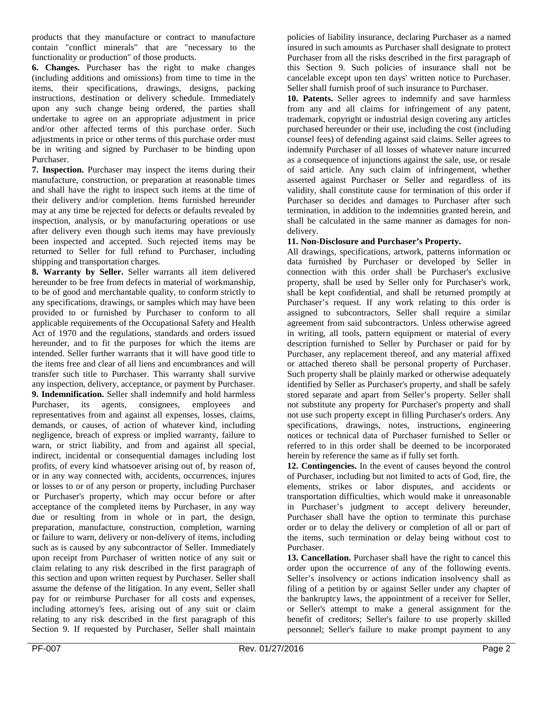products that they manufacture or contract to manufacture contain "conflict minerals" that are "necessary to the functionality or production" of those products.

**6. Changes.** Purchaser has the right to make changes (including additions and omissions) from time to time in the items, their specifications, drawings, designs, packing instructions, destination or delivery schedule. Immediately upon any such change being ordered, the parties shall undertake to agree on an appropriate adjustment in price and/or other affected terms of this purchase order. Such adjustments in price or other terms of this purchase order must be in writing and signed by Purchaser to be binding upon Purchaser.

**7. Inspection.** Purchaser may inspect the items during their manufacture, construction, or preparation at reasonable times and shall have the right to inspect such items at the time of their delivery and/or completion. Items furnished hereunder may at any time be rejected for defects or defaults revealed by inspection, analysis, or by manufacturing operations or use after delivery even though such items may have previously been inspected and accepted. Such rejected items may be returned to Seller for full refund to Purchaser, including shipping and transportation charges.

**8. Warranty by Seller.** Seller warrants all item delivered hereunder to be free from defects in material of workmanship, to be of good and merchantable quality, to conform strictly to any specifications, drawings, or samples which may have been provided to or furnished by Purchaser to conform to all applicable requirements of the Occupational Safety and Health Act of 1970 and the regulations, standards and orders issued hereunder, and to fit the purposes for which the items are intended. Seller further warrants that it will have good title to the items free and clear of all liens and encumbrances and will transfer such title to Purchaser. This warranty shall survive any inspection, delivery, acceptance, or payment by Purchaser. **9. Indemnification.** Seller shall indemnify and hold harmless Purchaser, its agents, consignees, employees and representatives from and against all expenses, losses, claims, demands, or causes, of action of whatever kind, including negligence, breach of express or implied warranty, failure to warn, or strict liability, and from and against all special, indirect, incidental or consequential damages including lost profits, of every kind whatsoever arising out of, by reason of, or in any way connected with, accidents, occurrences, injures or losses to or of any person or property, including Purchaser or Purchaser's property, which may occur before or after acceptance of the completed items by Purchaser, in any way due or resulting from in whole or in part, the design, preparation, manufacture, construction, completion, warning or failure to warn, delivery or non-delivery of items, including such as is caused by any subcontractor of Seller. Immediately upon receipt from Purchaser of written notice of any suit or claim relating to any risk described in the first paragraph of this section and upon written request by Purchaser. Seller shall assume the defense of the litigation. In any event, Seller shall pay for or reimburse Purchaser for all costs and expenses, including attorney's fees, arising out of any suit or claim relating to any risk described in the first paragraph of this Section 9. If requested by Purchaser, Seller shall maintain

policies of liability insurance, declaring Purchaser as a named insured in such amounts as Purchaser shall designate to protect Purchaser from all the risks described in the first paragraph of this Section 9. Such policies of insurance shall not be cancelable except upon ten days' written notice to Purchaser. Seller shall furnish proof of such insurance to Purchaser.

**10. Patents.** Seller agrees to indemnify and save harmless from any and all claims for infringement of any patent, trademark, copyright or industrial design covering any articles purchased hereunder or their use, including the cost (including counsel fees) of defending against said claims. Seller agrees to indemnify Purchaser of all losses of whatever nature incurred as a consequence of injunctions against the sale, use, or resale of said article. Any such claim of infringement, whether asserted against Purchaser or Seller and regardless of its validity, shall constitute cause for termination of this order if Purchaser so decides and damages to Purchaser after such termination, in addition to the indemnities granted herein, and shall be calculated in the same manner as damages for nondelivery.

## **11. Non-Disclosure and Purchaser's Property.**

All drawings, specifications, artwork, patterns information or data furnished by Purchaser or developed by Seller in connection with this order shall be Purchaser's exclusive property, shall be used by Seller only for Purchaser's work, shall be kept confidential, and shall be returned promptly at Purchaser's request. If any work relating to this order is assigned to subcontractors, Seller shall require a similar agreement from said subcontractors. Unless otherwise agreed in writing, all tools, pattern equipment or material of every description furnished to Seller by Purchaser or paid for by Purchaser, any replacement thereof, and any material affixed or attached thereto shall be personal property of Purchaser. Such property shall be plainly marked or otherwise adequately identified by Seller as Purchaser's property, and shall be safely stored separate and apart from Seller's property. Seller shall not substitute any property for Purchaser's property and shall not use such property except in filling Purchaser's orders. Any specifications, drawings, notes, instructions, engineering notices or technical data of Purchaser furnished to Seller or referred to in this order shall be deemed to be incorporated herein by reference the same as if fully set forth.

**12. Contingencies.** In the event of causes beyond the control of Purchaser, including but not limited to acts of God, fire, the elements, strikes or labor disputes, and accidents or transportation difficulties, which would make it unreasonable in Purchaser's judgment to accept delivery hereunder, Purchaser shall have the option to terminate this purchase order or to delay the delivery or completion of all or part of the items, such termination or delay being without cost to Purchaser.

**13. Cancellation.** Purchaser shall have the right to cancel this order upon the occurrence of any of the following events. Seller's insolvency or actions indication insolvency shall as filing of a petition by or against Seller under any chapter of the bankruptcy laws, the appointment of a receiver for Seller, or Seller's attempt to make a general assignment for the benefit of creditors; Seller's failure to use properly skilled personnel; Seller's failure to make prompt payment to any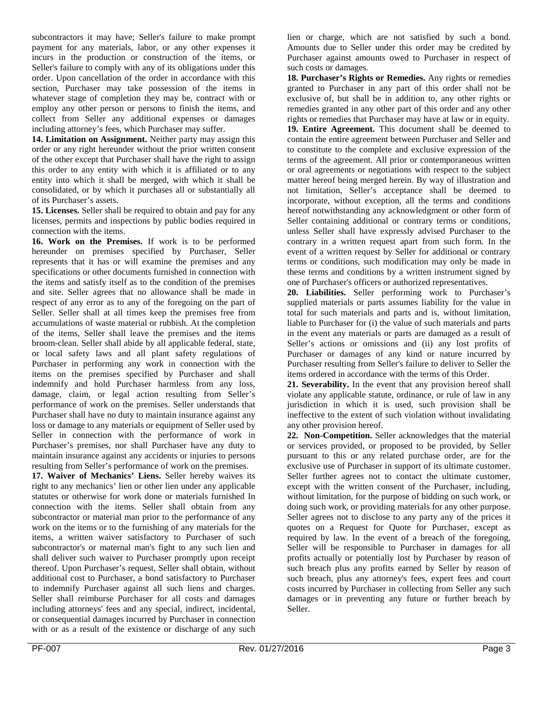subcontractors it may have; Seller's failure to make prompt payment for any materials, labor, or any other expenses it incurs in the production or construction of the items, or Seller's failure to comply with any of its obligations under this order. Upon cancellation of the order in accordance with this section, Purchaser may take possession of the items in whatever stage of completion they may be, contract with or employ any other person or persons to finish the items, and collect from Seller any additional expenses or damages including attorney's fees, which Purchaser may suffer.

**14. Limitation on Assignment.** Neither party may assign this order or any right hereunder without the prior written consent of the other except that Purchaser shall have the right to assign this order to any entity with which it is affiliated or to any entity into which it shall be merged, with which it shall be consolidated, or by which it purchases all or substantially all of its Purchaser's assets.

**15. Licenses.** Seller shall be required to obtain and pay for any licenses, permits and inspections by public bodies required in connection with the items.

**16. Work on the Premises.** If work is to be performed hereunder on premises specified by Purchaser, Seller represents that it has or will examine the premises and any specifications or other documents furnished in connection with the items and satisfy itself as to the condition of the premises and site. Seller agrees that no allowance shall be made in respect of any error as to any of the foregoing on the part of Seller. Seller shall at all times keep the premises free from accumulations of waste material or rubbish. At the completion of the items, Seller shall leave the premises and the items broom-clean. Seller shall abide by all applicable federal, state, or local safety laws and all plant safety regulations of Purchaser in performing any work in connection with the items on the premises specified by Purchaser and shall indemnify and hold Purchaser harmless from any loss, damage, claim, or legal action resulting from Seller's performance of work on the premises. Seller understands that Purchaser shall have no duty to maintain insurance against any loss or damage to any materials or equipment of Seller used by Seller in connection with the performance of work in Purchaser's premises, nor shall Purchaser have any duty to maintain insurance against any accidents or injuries to persons resulting from Seller's performance of work on the premises.

**17. Waiver of Mechanics' Liens.** Seller hereby waives its right to any mechanics' lien or other lien under any applicable statutes or otherwise for work done or materials furnished In connection with the items. Seller shall obtain from any subcontractor or material man prior to the performance of any work on the items or to the furnishing of any materials for the items, a written waiver satisfactory to Purchaser of such subcontractor's or maternal man's fight to any such lien and shall deliver such waiver to Purchaser promptly upon receipt thereof. Upon Purchaser's request, Seller shall obtain, without additional cost to Purchaser, a bond satisfactory to Purchaser to indemnify Purchaser against all such liens and charges. Seller shall reimburse Purchaser for all costs and damages including attorneys' fees and any special, indirect, incidental, or consequential damages incurred by Purchaser in connection with or as a result of the existence or discharge of any such

lien or charge, which are not satisfied by such a bond. Amounts due to Seller under this order may be credited by Purchaser against amounts owed to Purchaser in respect of such costs or damages.

**18. Purchaser's Rights or Remedies.** Any rights or remedies granted to Purchaser in any part of this order shall not be exclusive of, but shall be in addition to, any other rights or remedies granted in any other part of this order and any other rights or remedies that Purchaser may have at law or in equity.

**19. Entire Agreement.** This document shall be deemed to contain the entire agreement between Purchaser and Seller and to constitute to the complete and exclusive expression of the terms of the agreement. All prior or contemporaneous written or oral agreements or negotiations with respect to the subject matter hereof being merged herein. By way of illustration and not limitation, Seller's acceptance shall be deemed to incorporate, without exception, all the terms and conditions hereof notwithstanding any acknowledgment or other form of Seller containing additional or contrary terms or conditions, unless Seller shall have expressly advised Purchaser to the contrary in a written request apart from such form. In the event of a written request by Seller for additional or contrary terms or conditions, such modification may only be made in these terms and conditions by a written instrument signed by one of Purchaser's officers or authorized representatives.

**20. Liabilities.** Seller performing work to Purchaser's supplied materials or parts assumes liability for the value in total for such materials and parts and is, without limitation, liable to Purchaser for (i) the value of such materials and parts in the event any materials or parts are damaged as a result of Seller's actions or omissions and (ii) any lost profits of Purchaser or damages of any kind or nature incurred by Purchaser resulting from Seller's failure to deliver to Seller the items ordered in accordance with the terms of this Order.

**21. Severability.** In the event that any provision hereof shall violate any applicable statute, ordinance, or rule of law in any jurisdiction in which it is used, such provision shall be ineffective to the extent of such violation without invalidating any other provision hereof.

**22. Non-Competition.** Seller acknowledges that the material or services provided, or proposed to be provided, by Seller pursuant to this or any related purchase order, are for the exclusive use of Purchaser in support of its ultimate customer. Seller further agrees not to contact the ultimate customer, except with the written consent of the Purchaser, including, without limitation, for the purpose of bidding on such work, or doing such work, or providing materials for any other purpose. Seller agrees not to disclose to any party any of the prices it quotes on a Request for Quote for Purchaser, except as required by law. In the event of a breach of the foregoing, Seller will be responsible to Purchaser in damages for all profits actually or potentially lost by Purchaser by reason of such breach plus any profits earned by Seller by reason of such breach, plus any attorney's fees, expert fees and court costs incurred by Purchaser in collecting from Seller any such damages or in preventing any future or further breach by Seller.